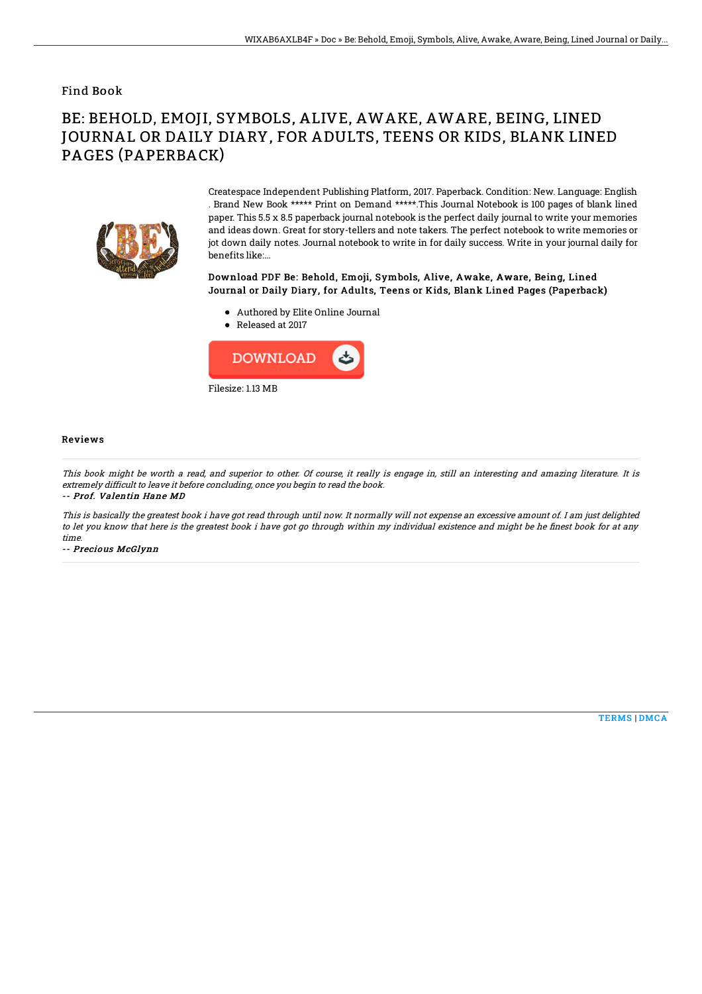### Find Book

# BE: BEHOLD, EMOJI, SYMBOLS, ALIVE, AWAKE, AWARE, BEING, LINED JOURNAL OR DAILY DIARY, FOR ADULTS, TEENS OR KIDS, BLANK LINED PAGES (PAPERBACK)



Createspace Independent Publishing Platform, 2017. Paperback. Condition: New. Language: English . Brand New Book \*\*\*\*\* Print on Demand \*\*\*\*\*.This Journal Notebook is 100 pages of blank lined paper. This 5.5 x 8.5 paperback journal notebook is the perfect daily journal to write your memories and ideas down. Great for story-tellers and note takers. The perfect notebook to write memories or jot down daily notes. Journal notebook to write in for daily success. Write in your journal daily for benefits like:...

#### Download PDF Be: Behold, Emoji, Symbols, Alive, Awake, Aware, Being, Lined Journal or Daily Diary, for Adults, Teens or Kids, Blank Lined Pages (Paperback)

- Authored by Elite Online Journal
- Released at 2017



#### Reviews

This book might be worth <sup>a</sup> read, and superior to other. Of course, it really is engage in, still an interesting and amazing literature. It is extremely difficult to leave it before concluding, once you begin to read the book.

-- Prof. Valentin Hane MD

This is basically the greatest book i have got read through until now. It normally will not expense an excessive amount of. I am just delighted to let you know that here is the greatest book i have got go through within my individual existence and might be he finest book for at any time.

-- Precious McGlynn